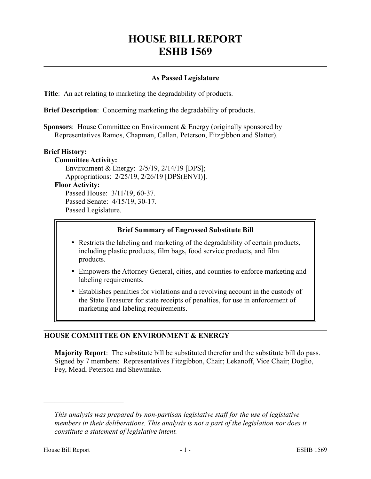# **HOUSE BILL REPORT ESHB 1569**

## **As Passed Legislature**

**Title**: An act relating to marketing the degradability of products.

**Brief Description**: Concerning marketing the degradability of products.

**Sponsors**: House Committee on Environment & Energy (originally sponsored by Representatives Ramos, Chapman, Callan, Peterson, Fitzgibbon and Slatter).

#### **Brief History:**

**Committee Activity:** Environment & Energy: 2/5/19, 2/14/19 [DPS]; Appropriations: 2/25/19, 2/26/19 [DPS(ENVI)]. **Floor Activity:** Passed House: 3/11/19, 60-37.

Passed Senate: 4/15/19, 30-17. Passed Legislature.

#### **Brief Summary of Engrossed Substitute Bill**

- Restricts the labeling and marketing of the degradability of certain products, including plastic products, film bags, food service products, and film products.
- Empowers the Attorney General, cities, and counties to enforce marketing and labeling requirements.
- Establishes penalties for violations and a revolving account in the custody of the State Treasurer for state receipts of penalties, for use in enforcement of marketing and labeling requirements.

#### **HOUSE COMMITTEE ON ENVIRONMENT & ENERGY**

**Majority Report**: The substitute bill be substituted therefor and the substitute bill do pass. Signed by 7 members: Representatives Fitzgibbon, Chair; Lekanoff, Vice Chair; Doglio, Fey, Mead, Peterson and Shewmake.

––––––––––––––––––––––

*This analysis was prepared by non-partisan legislative staff for the use of legislative members in their deliberations. This analysis is not a part of the legislation nor does it constitute a statement of legislative intent.*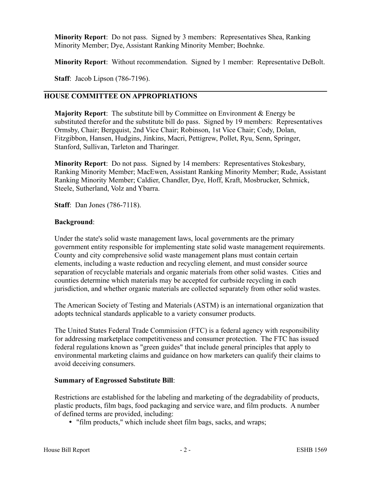**Minority Report**: Do not pass. Signed by 3 members: Representatives Shea, Ranking Minority Member; Dye, Assistant Ranking Minority Member; Boehnke.

**Minority Report**: Without recommendation. Signed by 1 member: Representative DeBolt.

**Staff**: Jacob Lipson (786-7196).

# **HOUSE COMMITTEE ON APPROPRIATIONS**

**Majority Report**: The substitute bill by Committee on Environment & Energy be substituted therefor and the substitute bill do pass. Signed by 19 members: Representatives Ormsby, Chair; Bergquist, 2nd Vice Chair; Robinson, 1st Vice Chair; Cody, Dolan, Fitzgibbon, Hansen, Hudgins, Jinkins, Macri, Pettigrew, Pollet, Ryu, Senn, Springer, Stanford, Sullivan, Tarleton and Tharinger.

**Minority Report**: Do not pass. Signed by 14 members: Representatives Stokesbary, Ranking Minority Member; MacEwen, Assistant Ranking Minority Member; Rude, Assistant Ranking Minority Member; Caldier, Chandler, Dye, Hoff, Kraft, Mosbrucker, Schmick, Steele, Sutherland, Volz and Ybarra.

**Staff**: Dan Jones (786-7118).

## **Background**:

Under the state's solid waste management laws, local governments are the primary government entity responsible for implementing state solid waste management requirements. County and city comprehensive solid waste management plans must contain certain elements, including a waste reduction and recycling element, and must consider source separation of recyclable materials and organic materials from other solid wastes. Cities and counties determine which materials may be accepted for curbside recycling in each jurisdiction, and whether organic materials are collected separately from other solid wastes.

The American Society of Testing and Materials (ASTM) is an international organization that adopts technical standards applicable to a variety consumer products.

The United States Federal Trade Commission (FTC) is a federal agency with responsibility for addressing marketplace competitiveness and consumer protection. The FTC has issued federal regulations known as "green guides" that include general principles that apply to environmental marketing claims and guidance on how marketers can qualify their claims to avoid deceiving consumers.

## **Summary of Engrossed Substitute Bill**:

Restrictions are established for the labeling and marketing of the degradability of products, plastic products, film bags, food packaging and service ware, and film products. A number of defined terms are provided, including:

"film products," which include sheet film bags, sacks, and wraps;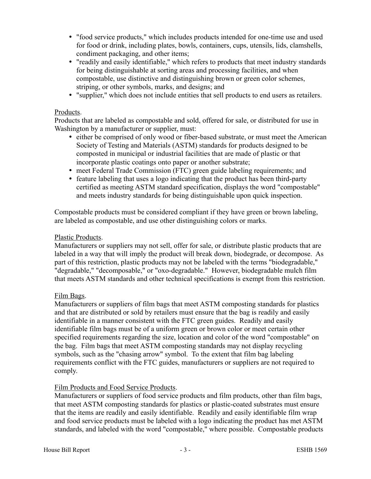- "food service products," which includes products intended for one-time use and used for food or drink, including plates, bowls, containers, cups, utensils, lids, clamshells, condiment packaging, and other items;
- "readily and easily identifiable," which refers to products that meet industry standards for being distinguishable at sorting areas and processing facilities, and when compostable, use distinctive and distinguishing brown or green color schemes, striping, or other symbols, marks, and designs; and
- "supplier," which does not include entities that sell products to end users as retailers.

#### Products.

Products that are labeled as compostable and sold, offered for sale, or distributed for use in Washington by a manufacturer or supplier, must:

- either be comprised of only wood or fiber-based substrate, or must meet the American Society of Testing and Materials (ASTM) standards for products designed to be composted in municipal or industrial facilities that are made of plastic or that incorporate plastic coatings onto paper or another substrate;
- meet Federal Trade Commission (FTC) green guide labeling requirements; and
- feature labeling that uses a logo indicating that the product has been third-party certified as meeting ASTM standard specification, displays the word "compostable" and meets industry standards for being distinguishable upon quick inspection.

Compostable products must be considered compliant if they have green or brown labeling, are labeled as compostable, and use other distinguishing colors or marks.

### Plastic Products.

Manufacturers or suppliers may not sell, offer for sale, or distribute plastic products that are labeled in a way that will imply the product will break down, biodegrade, or decompose. As part of this restriction, plastic products may not be labeled with the terms "biodegradable," "degradable," "decomposable," or "oxo-degradable." However, biodegradable mulch film that meets ASTM standards and other technical specifications is exempt from this restriction.

## Film Bags.

Manufacturers or suppliers of film bags that meet ASTM composting standards for plastics and that are distributed or sold by retailers must ensure that the bag is readily and easily identifiable in a manner consistent with the FTC green guides. Readily and easily identifiable film bags must be of a uniform green or brown color or meet certain other specified requirements regarding the size, location and color of the word "compostable" on the bag. Film bags that meet ASTM composting standards may not display recycling symbols, such as the "chasing arrow" symbol. To the extent that film bag labeling requirements conflict with the FTC guides, manufacturers or suppliers are not required to comply.

## Film Products and Food Service Products.

Manufacturers or suppliers of food service products and film products, other than film bags, that meet ASTM composting standards for plastics or plastic-coated substrates must ensure that the items are readily and easily identifiable. Readily and easily identifiable film wrap and food service products must be labeled with a logo indicating the product has met ASTM standards, and labeled with the word "compostable," where possible. Compostable products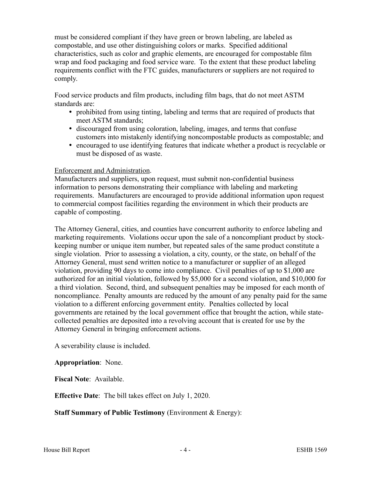must be considered compliant if they have green or brown labeling, are labeled as compostable, and use other distinguishing colors or marks. Specified additional characteristics, such as color and graphic elements, are encouraged for compostable film wrap and food packaging and food service ware. To the extent that these product labeling requirements conflict with the FTC guides, manufacturers or suppliers are not required to comply.

Food service products and film products, including film bags, that do not meet ASTM standards are:

- prohibited from using tinting, labeling and terms that are required of products that meet ASTM standards;
- discouraged from using coloration, labeling, images, and terms that confuse customers into mistakenly identifying noncompostable products as compostable; and
- encouraged to use identifying features that indicate whether a product is recyclable or must be disposed of as waste.

#### Enforcement and Administration.

Manufacturers and suppliers, upon request, must submit non-confidential business information to persons demonstrating their compliance with labeling and marketing requirements. Manufacturers are encouraged to provide additional information upon request to commercial compost facilities regarding the environment in which their products are capable of composting.

The Attorney General, cities, and counties have concurrent authority to enforce labeling and marketing requirements. Violations occur upon the sale of a noncompliant product by stockkeeping number or unique item number, but repeated sales of the same product constitute a single violation. Prior to assessing a violation, a city, county, or the state, on behalf of the Attorney General, must send written notice to a manufacturer or supplier of an alleged violation, providing 90 days to come into compliance. Civil penalties of up to \$1,000 are authorized for an initial violation, followed by \$5,000 for a second violation, and \$10,000 for a third violation. Second, third, and subsequent penalties may be imposed for each month of noncompliance. Penalty amounts are reduced by the amount of any penalty paid for the same violation to a different enforcing government entity. Penalties collected by local governments are retained by the local government office that brought the action, while statecollected penalties are deposited into a revolving account that is created for use by the Attorney General in bringing enforcement actions.

A severability clause is included.

## **Appropriation**: None.

**Fiscal Note**: Available.

**Effective Date**: The bill takes effect on July 1, 2020.

**Staff Summary of Public Testimony** (Environment & Energy):